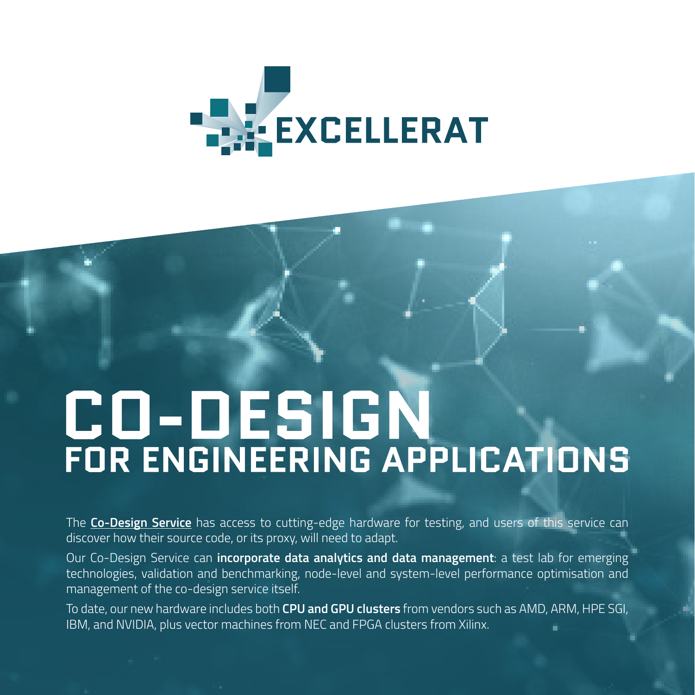

# **CO-DESIGN<br>FOR ENGINEERING APPLICATIONS**

The **[Co-Design Service](https://services.excellerat.eu/viewservice/1)** has access to cutting-edge hardware for testing, and users of this service can discover how their source code, or its proxy, will need to adapt.

Our Co-Design Service can **incorporate data analytics and data management**: a test lab for emerging technologies, validation and benchmarking, node-level and system-level performance optimisation and management of the co-design service itself.

To date, our new hardware includes both **CPU and GPU clusters** from vendors such as AMD, ARM, HPE SGI, IBM, and NVIDIA, plus vector machines from NEC and FPGA clusters from Xilinx.